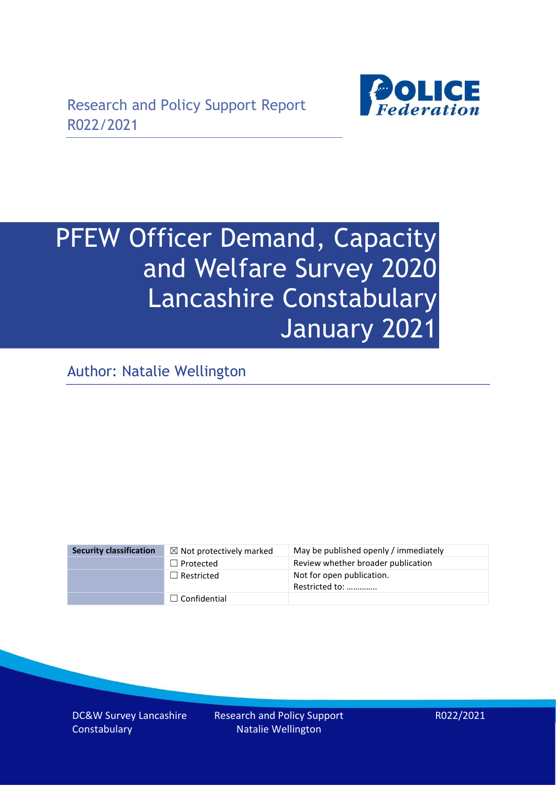

# PFEW Officer Demand, Capacity and Welfare Survey 2020 Lancashire Constabulary January 2021

Author: Natalie Wellington

| <b>Security classification</b> | $\boxtimes$ Not protectively marked | May be published openly / immediately       |
|--------------------------------|-------------------------------------|---------------------------------------------|
|                                | $\Box$ Protected                    | Review whether broader publication          |
|                                | $\Box$ Restricted                   | Not for open publication.<br>Restricted to: |
|                                | $\Box$ Confidential                 |                                             |

DC&W Survey Lancashire **Constabulary** 

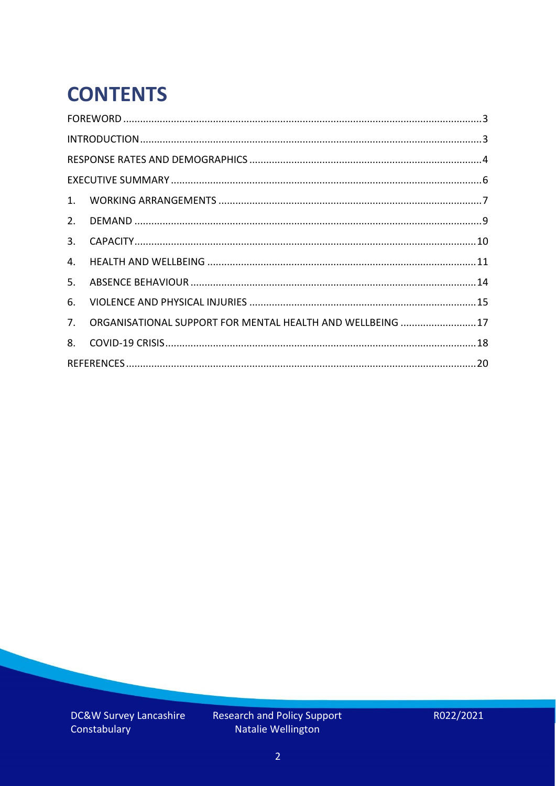# **CONTENTS**

| 2.          |                                                            |  |
|-------------|------------------------------------------------------------|--|
| 3.          |                                                            |  |
| 4.          |                                                            |  |
| 5.          |                                                            |  |
| 6.          |                                                            |  |
| $7_{\cdot}$ | ORGANISATIONAL SUPPORT FOR MENTAL HEALTH AND WELLBEING  17 |  |
| 8.          |                                                            |  |
|             |                                                            |  |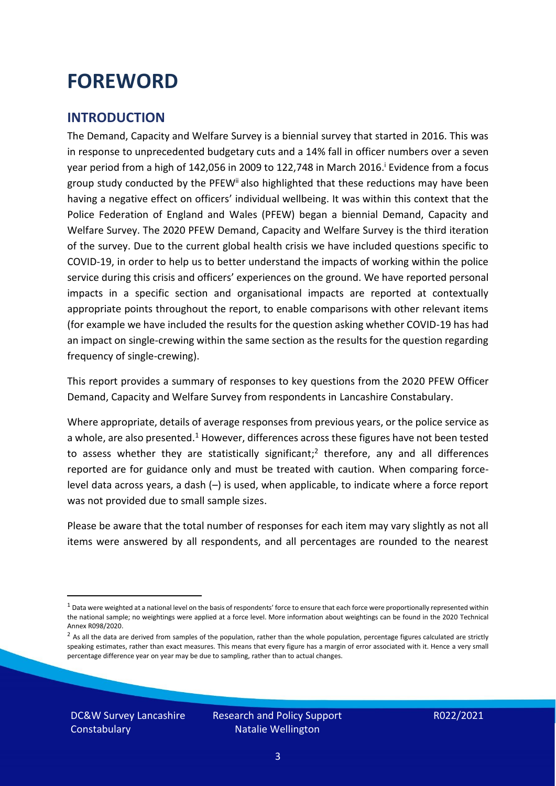### <span id="page-2-0"></span>**FOREWORD**

#### <span id="page-2-1"></span>**INTRODUCTION**

The Demand, Capacity and Welfare Survey is a biennial survey that started in 2016. This was in response to unprecedented budgetary cuts and a 14% fall in officer numbers over a seven year period from a high of 142,056 in 2009 to 122,748 in March 2016. <sup>i</sup> Evidence from a focus group study conducted by the PFEW<sup>ii</sup> also highlighted that these reductions may have been having a negative effect on officers' individual wellbeing. It was within this context that the Police Federation of England and Wales (PFEW) began a biennial Demand, Capacity and Welfare Survey. The 2020 PFEW Demand, Capacity and Welfare Survey is the third iteration of the survey. Due to the current global health crisis we have included questions specific to COVID-19, in order to help us to better understand the impacts of working within the police service during this crisis and officers' experiences on the ground. We have reported personal impacts in a specific section and organisational impacts are reported at contextually appropriate points throughout the report, to enable comparisons with other relevant items (for example we have included the results for the question asking whether COVID-19 has had an impact on single-crewing within the same section as the results for the question regarding frequency of single-crewing).

This report provides a summary of responses to key questions from the 2020 PFEW Officer Demand, Capacity and Welfare Survey from respondents in Lancashire Constabulary.

Where appropriate, details of average responses from previous years, or the police service as a whole, are also presented.<sup>1</sup> However, differences across these figures have not been tested to assess whether they are statistically significant;<sup>2</sup> therefore, any and all differences reported are for guidance only and must be treated with caution. When comparing forcelevel data across years, a dash (–) is used, when applicable, to indicate where a force report was not provided due to small sample sizes.

Please be aware that the total number of responses for each item may vary slightly as not all items were answered by all respondents, and all percentages are rounded to the nearest

DC&W Survey Lancashire **Constabulary** 

 $1$  Data were weighted at a national level on the basis of respondents' force to ensure that each force were proportionally represented within the national sample; no weightings were applied at a force level. More information about weightings can be found in the 2020 Technical Annex R098/2020.

 $2$  As all the data are derived from samples of the population, rather than the whole population, percentage figures calculated are strictly speaking estimates, rather than exact measures. This means that every figure has a margin of error associated with it. Hence a very small percentage difference year on year may be due to sampling, rather than to actual changes.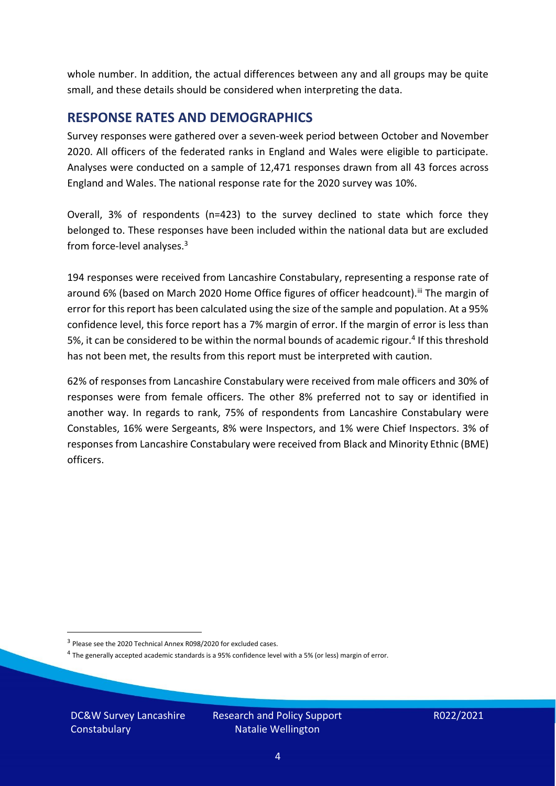whole number. In addition, the actual differences between any and all groups may be quite small, and these details should be considered when interpreting the data.

#### <span id="page-3-0"></span>**RESPONSE RATES AND DEMOGRAPHICS**

Survey responses were gathered over a seven-week period between October and November 2020. All officers of the federated ranks in England and Wales were eligible to participate. Analyses were conducted on a sample of 12,471 responses drawn from all 43 forces across England and Wales. The national response rate for the 2020 survey was 10%.

Overall, 3% of respondents (n=423) to the survey declined to state which force they belonged to. These responses have been included within the national data but are excluded from force-level analyses.<sup>3</sup>

194 responses were received from Lancashire Constabulary, representing a response rate of around 6% (based on March 2020 Home Office figures of officer headcount).<sup>iii</sup> The margin of error for this report has been calculated using the size of the sample and population. At a 95% confidence level, this force report has a 7% margin of error. If the margin of error is less than 5%, it can be considered to be within the normal bounds of academic rigour.<sup>4</sup> If this threshold has not been met, the results from this report must be interpreted with caution.

62% of responses from Lancashire Constabulary were received from male officers and 30% of responses were from female officers. The other 8% preferred not to say or identified in another way. In regards to rank, 75% of respondents from Lancashire Constabulary were Constables, 16% were Sergeants, 8% were Inspectors, and 1% were Chief Inspectors. 3% of responses from Lancashire Constabulary were received from Black and Minority Ethnic (BME) officers.

DC&W Survey Lancashire **Constabulary** 

<sup>&</sup>lt;sup>3</sup> Please see the 2020 Technical Annex R098/2020 for excluded cases.

<sup>&</sup>lt;sup>4</sup> The generally accepted academic standards is a 95% confidence level with a 5% (or less) margin of error.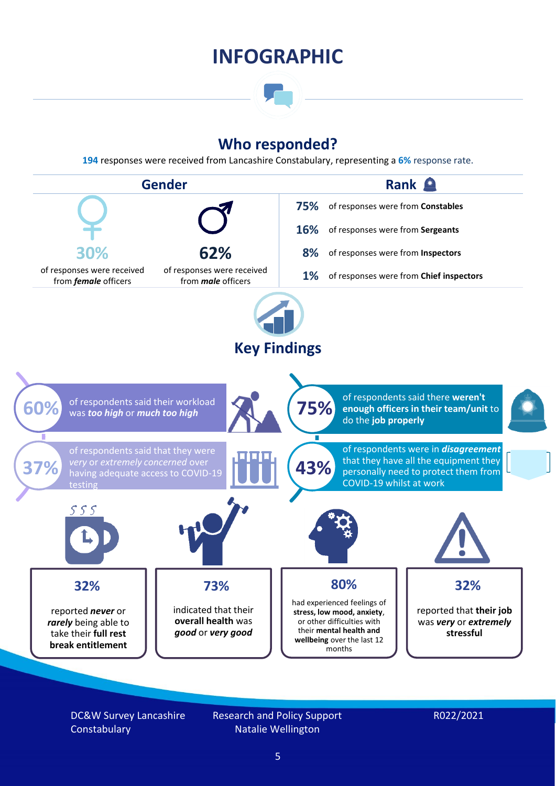### **INFOGRAPHIC**

### **Who responded?**

**194** responses were received from Lancashire Constabulary, representing a **6%** response rate.



DC&W Survey Lancashire **Constabulary** 

Research and Policy Support Natalie Wellington

#### R022/2021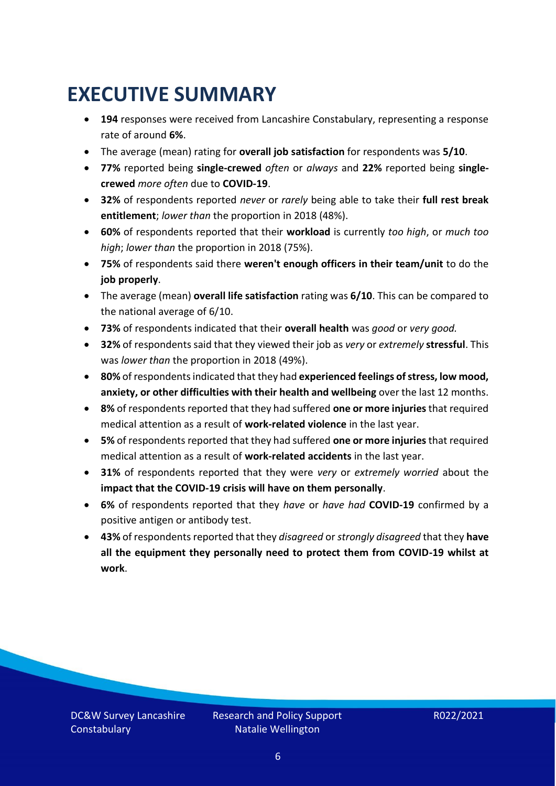### <span id="page-5-0"></span>**EXECUTIVE SUMMARY**

- **194** responses were received from Lancashire Constabulary, representing a response rate of around **6%**.
- The average (mean) rating for **overall job satisfaction** for respondents was **5/10**.
- **77%** reported being **single-crewed** *often* or *always* and **22%** reported being **singlecrewed** *more often* due to **COVID-19**.
- **32%** of respondents reported *never* or *rarely* being able to take their **full rest break entitlement**; *lower than* the proportion in 2018 (48%).
- **60%** of respondents reported that their **workload** is currently *too high*, or *much too high*; *lower than* the proportion in 2018 (75%).
- **75%** of respondents said there **weren't enough officers in their team/unit** to do the **job properly**.
- The average (mean) **overall life satisfaction** rating was **6/10**. This can be compared to the national average of 6/10.
- **73%** of respondents indicated that their **overall health** was *good* or *very good.*
- **32%** of respondents said that they viewed their job as *very* or *extremely* **stressful**. This was *lower than* the proportion in 2018 (49%).
- **80%** of respondents indicated that they had **experienced feelings of stress, low mood, anxiety, or other difficulties with their health and wellbeing** over the last 12 months.
- **8%** of respondents reported that they had suffered **one or more injuries**that required medical attention as a result of **work-related violence** in the last year.
- **5%** of respondents reported that they had suffered **one or more injuries**that required medical attention as a result of **work-related accidents** in the last year.
- **31%** of respondents reported that they were *very* or *extremely worried* about the **impact that the COVID-19 crisis will have on them personally**.
- **6%** of respondents reported that they *have* or *have had* **COVID-19** confirmed by a positive antigen or antibody test.
- **43%** of respondents reported that they *disagreed* or *strongly disagreed* that they **have all the equipment they personally need to protect them from COVID-19 whilst at work**.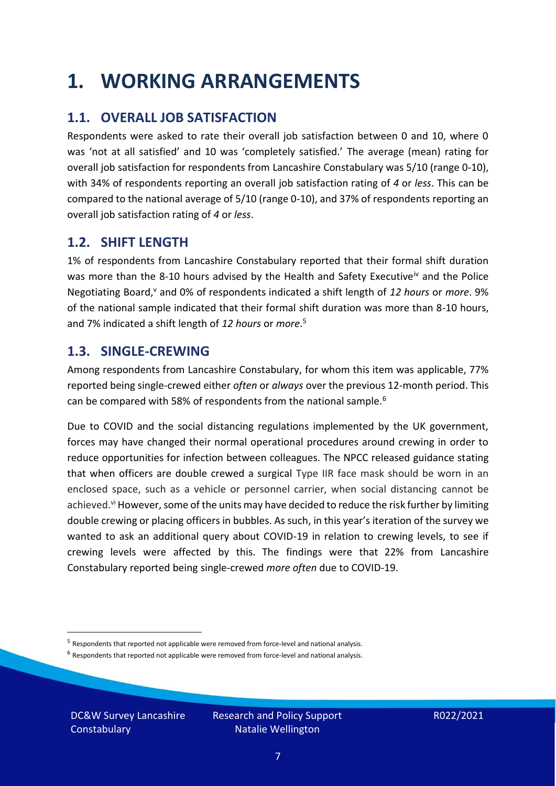### <span id="page-6-0"></span>**1. WORKING ARRANGEMENTS**

### **1.1. OVERALL JOB SATISFACTION**

Respondents were asked to rate their overall job satisfaction between 0 and 10, where 0 was 'not at all satisfied' and 10 was 'completely satisfied.' The average (mean) rating for overall job satisfaction for respondents from Lancashire Constabulary was 5/10 (range 0-10), with 34% of respondents reporting an overall job satisfaction rating of *4* or *less*. This can be compared to the national average of 5/10 (range 0-10), and 37% of respondents reporting an overall job satisfaction rating of *4* or *less*.

### **1.2. SHIFT LENGTH**

1% of respondents from Lancashire Constabulary reported that their formal shift duration was more than the 8-10 hours advised by the Health and Safety Executive<sup>iv</sup> and the Police Negotiating Board,<sup>v</sup> and 0% of respondents indicated a shift length of 12 hours or more. 9% of the national sample indicated that their formal shift duration was more than 8-10 hours, and 7% indicated a shift length of *12 hours* or *more*. 5

#### **1.3. SINGLE-CREWING**

Among respondents from Lancashire Constabulary, for whom this item was applicable, 77% reported being single-crewed either *often* or *always* over the previous 12-month period. This can be compared with 58% of respondents from the national sample.<sup>6</sup>

Due to COVID and the social distancing regulations implemented by the UK government, forces may have changed their normal operational procedures around crewing in order to reduce opportunities for infection between colleagues. The NPCC released guidance stating that when officers are double crewed a surgical Type IIR face mask should be worn in an enclosed space, such as a vehicle or personnel carrier, when social distancing cannot be achieved.<sup>vi</sup> However, some of the units may have decided to reduce the risk further by limiting double crewing or placing officers in bubbles. As such, in this year's iteration of the survey we wanted to ask an additional query about COVID-19 in relation to crewing levels, to see if crewing levels were affected by this. The findings were that 22% from Lancashire Constabulary reported being single-crewed *more often* due to COVID-19.

 $<sup>6</sup>$  Respondents that reported not applicable were removed from force-level and national analysis.</sup>

DC&W Survey Lancashire **Constabulary** 

<sup>&</sup>lt;sup>5</sup> Respondents that reported not applicable were removed from force-level and national analysis.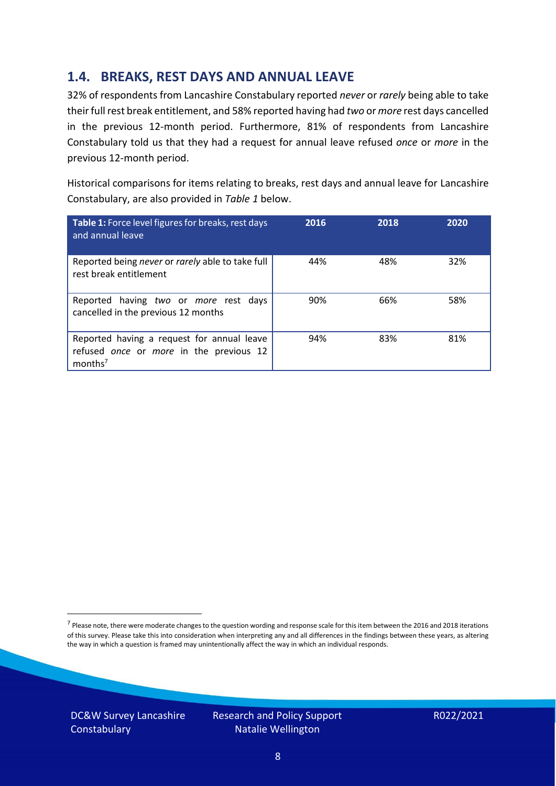### **1.4. BREAKS, REST DAYS AND ANNUAL LEAVE**

32% of respondents from Lancashire Constabulary reported *never* or *rarely* being able to take their full rest break entitlement, and 58% reported having had *two* or *more* rest days cancelled in the previous 12-month period. Furthermore, 81% of respondents from Lancashire Constabulary told us that they had a request for annual leave refused *once* or *more* in the previous 12-month period.

Historical comparisons for items relating to breaks, rest days and annual leave for Lancashire Constabulary, are also provided in *Table 1* below.

| Table 1: Force level figures for breaks, rest days<br>and annual leave                                       | 2016 | 2018 | 2020 |
|--------------------------------------------------------------------------------------------------------------|------|------|------|
| Reported being never or rarely able to take full<br>rest break entitlement                                   | 44%  | 48%  | 32%  |
| Reported having two or more rest days<br>cancelled in the previous 12 months                                 | 90%  | 66%  | 58%  |
| Reported having a request for annual leave<br>refused once or more in the previous 12<br>months <sup>7</sup> | 94%  | 83%  | 81%  |

DC&W Survey Lancashire **Constabulary** 



<sup>&</sup>lt;sup>7</sup> Please note, there were moderate changes to the question wording and response scale for this item between the 2016 and 2018 iterations of this survey. Please take this into consideration when interpreting any and all differences in the findings between these years, as altering the way in which a question is framed may unintentionally affect the way in which an individual responds.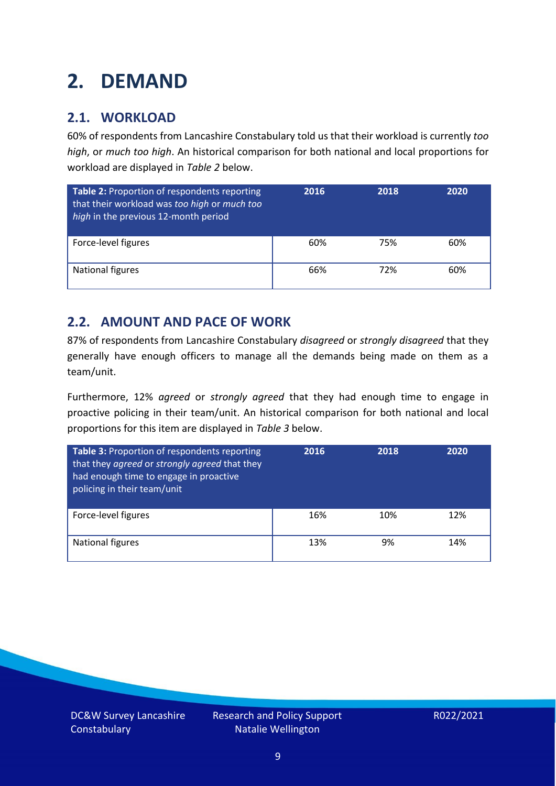### <span id="page-8-0"></span>**2. DEMAND**

### **2.1. WORKLOAD**

60% of respondents from Lancashire Constabulary told us that their workload is currently *too high*, or *much too high*. An historical comparison for both national and local proportions for workload are displayed in *Table 2* below.

| Table 2: Proportion of respondents reporting<br>that their workload was too high or much too<br>high in the previous 12-month period | 2016 | 2018 | 2020 |
|--------------------------------------------------------------------------------------------------------------------------------------|------|------|------|
| Force-level figures                                                                                                                  | 60%  | 75%  | 60%  |
| <b>National figures</b>                                                                                                              | 66%  | 72%  | 60%  |

### **2.2. AMOUNT AND PACE OF WORK**

87% of respondents from Lancashire Constabulary *disagreed* or *strongly disagreed* that they generally have enough officers to manage all the demands being made on them as a team/unit.

Furthermore, 12% *agreed* or *strongly agreed* that they had enough time to engage in proactive policing in their team/unit. An historical comparison for both national and local proportions for this item are displayed in *Table 3* below.

| Table 3: Proportion of respondents reporting<br>that they agreed or strongly agreed that they<br>had enough time to engage in proactive<br>policing in their team/unit | 2016 | 2018 | 2020 |
|------------------------------------------------------------------------------------------------------------------------------------------------------------------------|------|------|------|
| Force-level figures                                                                                                                                                    | 16%  | 10%  | 12%  |
| National figures                                                                                                                                                       | 13%  | 9%   | 14%  |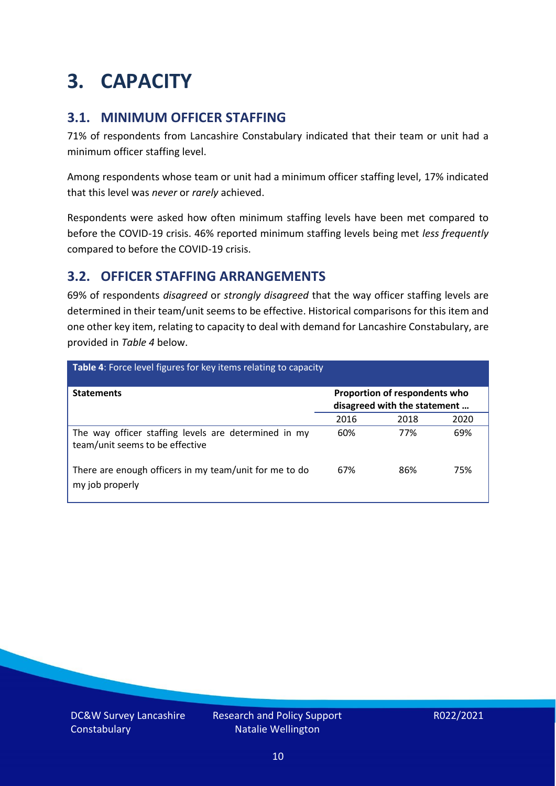### <span id="page-9-0"></span>**3. CAPACITY**

### **3.1. MINIMUM OFFICER STAFFING**

71% of respondents from Lancashire Constabulary indicated that their team or unit had a minimum officer staffing level.

Among respondents whose team or unit had a minimum officer staffing level, 17% indicated that this level was *never* or *rarely* achieved.

Respondents were asked how often minimum staffing levels have been met compared to before the COVID-19 crisis. 46% reported minimum staffing levels being met *less frequently* compared to before the COVID-19 crisis.

### **3.2. OFFICER STAFFING ARRANGEMENTS**

69% of respondents *disagreed* or *strongly disagreed* that the way officer staffing levels are determined in their team/unit seems to be effective. Historical comparisons for this item and one other key item, relating to capacity to deal with demand for Lancashire Constabulary, are provided in *Table 4* below.

| <b>Table 4:</b> Force level figures for key items relating to capacity                  |                                                               |      |      |  |
|-----------------------------------------------------------------------------------------|---------------------------------------------------------------|------|------|--|
| <b>Statements</b>                                                                       | Proportion of respondents who<br>disagreed with the statement |      |      |  |
|                                                                                         | 2016                                                          | 2018 | 2020 |  |
| The way officer staffing levels are determined in my<br>team/unit seems to be effective | 60%                                                           | 77%  | 69%  |  |
| There are enough officers in my team/unit for me to do<br>my job properly               | 67%                                                           | 86%  | 75%  |  |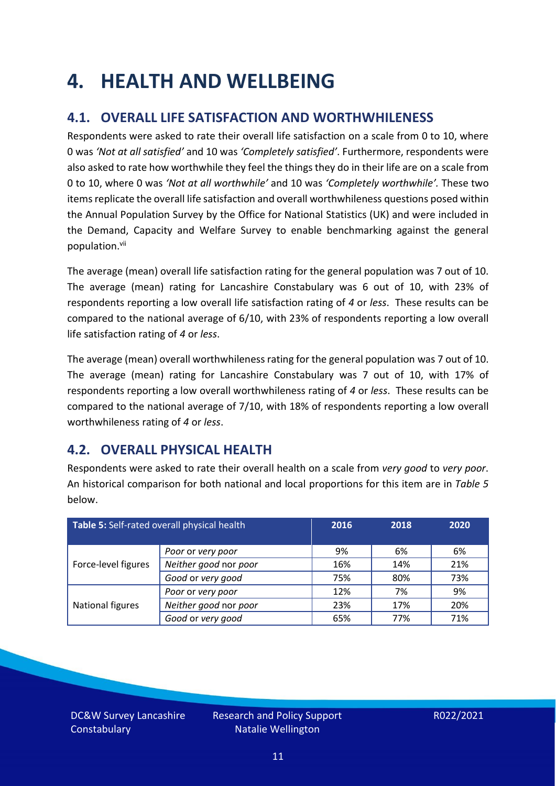### <span id="page-10-0"></span>**4. HEALTH AND WELLBEING**

### **4.1. OVERALL LIFE SATISFACTION AND WORTHWHILENESS**

Respondents were asked to rate their overall life satisfaction on a scale from 0 to 10, where 0 was *'Not at all satisfied'* and 10 was *'Completely satisfied'*. Furthermore, respondents were also asked to rate how worthwhile they feel the things they do in their life are on a scale from 0 to 10, where 0 was *'Not at all worthwhile'* and 10 was *'Completely worthwhile'.* These two items replicate the overall life satisfaction and overall worthwhileness questions posed within the Annual Population Survey by the Office for National Statistics (UK) and were included in the Demand, Capacity and Welfare Survey to enable benchmarking against the general population. vii

The average (mean) overall life satisfaction rating for the general population was 7 out of 10. The average (mean) rating for Lancashire Constabulary was 6 out of 10, with 23% of respondents reporting a low overall life satisfaction rating of *4* or *less*. These results can be compared to the national average of 6/10, with 23% of respondents reporting a low overall life satisfaction rating of *4* or *less*.

The average (mean) overall worthwhileness rating for the general population was 7 out of 10. The average (mean) rating for Lancashire Constabulary was 7 out of 10, with 17% of respondents reporting a low overall worthwhileness rating of *4* or *less*. These results can be compared to the national average of 7/10, with 18% of respondents reporting a low overall worthwhileness rating of *4* or *less*.

### **4.2. OVERALL PHYSICAL HEALTH**

Respondents were asked to rate their overall health on a scale from *very good* to *very poor*. An historical comparison for both national and local proportions for this item are in *Table 5* below.

| Table 5: Self-rated overall physical health |                       | 2016 | 2018 | 2020 |
|---------------------------------------------|-----------------------|------|------|------|
|                                             | Poor or very poor     | 9%   | 6%   | 6%   |
| Force-level figures                         | Neither good nor poor | 16%  | 14%  | 21%  |
|                                             | Good or very good     | 75%  | 80%  | 73%  |
|                                             | Poor or very poor     | 12%  | 7%   | 9%   |
| National figures                            | Neither good nor poor | 23%  | 17%  | 20%  |
|                                             | Good or very good     | 65%  | 77%  | 71%  |

DC&W Survey Lancashire **Constabulary**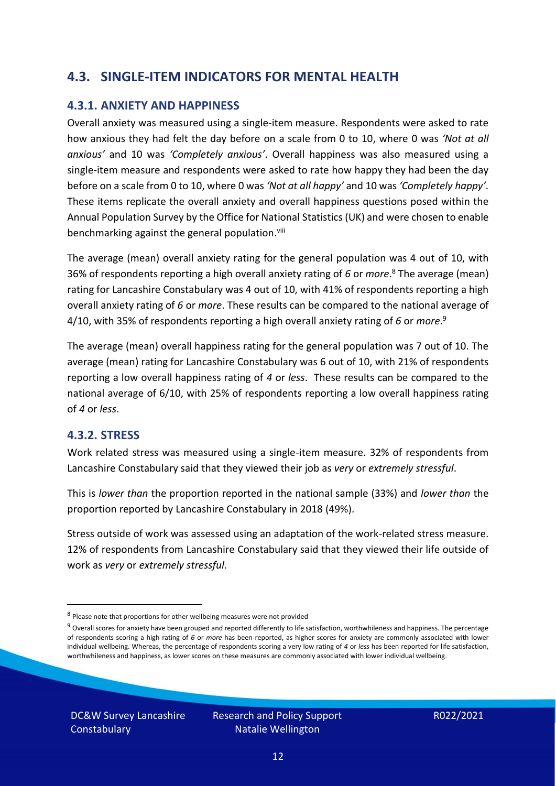### **4.3. SINGLE-ITEM INDICATORS FOR MENTAL HEALTH**

#### **4.3.1. ANXIETY AND HAPPINESS**

Overall anxiety was measured using a single-item measure. Respondents were asked to rate how anxious they had felt the day before on a scale from 0 to 10, where 0 was *'Not at all anxious'* and 10 was *'Completely anxious'*. Overall happiness was also measured using a single-item measure and respondents were asked to rate how happy they had been the day before on a scale from 0 to 10, where 0 was *'Not at all happy'* and 10 was *'Completely happy'*. These items replicate the overall anxiety and overall happiness questions posed within the Annual Population Survey by the Office for National Statistics (UK) and were chosen to enable benchmarking against the general population.<sup>viii</sup>

The average (mean) overall anxiety rating for the general population was 4 out of 10, with 36% of respondents reporting a high overall anxiety rating of *6* or *more*. <sup>8</sup> The average (mean) rating for Lancashire Constabulary was 4 out of 10, with 41% of respondents reporting a high overall anxiety rating of *6* or *more*. These results can be compared to the national average of 4/10, with 35% of respondents reporting a high overall anxiety rating of *6* or *more*. 9

The average (mean) overall happiness rating for the general population was 7 out of 10. The average (mean) rating for Lancashire Constabulary was 6 out of 10, with 21% of respondents reporting a low overall happiness rating of *4* or *less*. These results can be compared to the national average of 6/10, with 25% of respondents reporting a low overall happiness rating of *4* or *less*.

#### **4.3.2. STRESS**

Work related stress was measured using a single-item measure. 32% of respondents from Lancashire Constabulary said that they viewed their job as *very* or *extremely stressful*.

This is *lower than* the proportion reported in the national sample (33%) and *lower than* the proportion reported by Lancashire Constabulary in 2018 (49%).

Stress outside of work was assessed using an adaptation of the work-related stress measure. 12% of respondents from Lancashire Constabulary said that they viewed their life outside of work as *very* or *extremely stressful*.

<sup>&</sup>lt;sup>8</sup> Please note that proportions for other wellbeing measures were not provided

 $9$  Overall scores for anxiety have been grouped and reported differently to life satisfaction, worthwhileness and happiness. The percentage of respondents scoring a high rating of *6* or *more* has been reported, as higher scores for anxiety are commonly associated with lower individual wellbeing. Whereas, the percentage of respondents scoring a very low rating of *4* or *less* has been reported for life satisfaction, worthwhileness and happiness, as lower scores on these measures are commonly associated with lower individual wellbeing.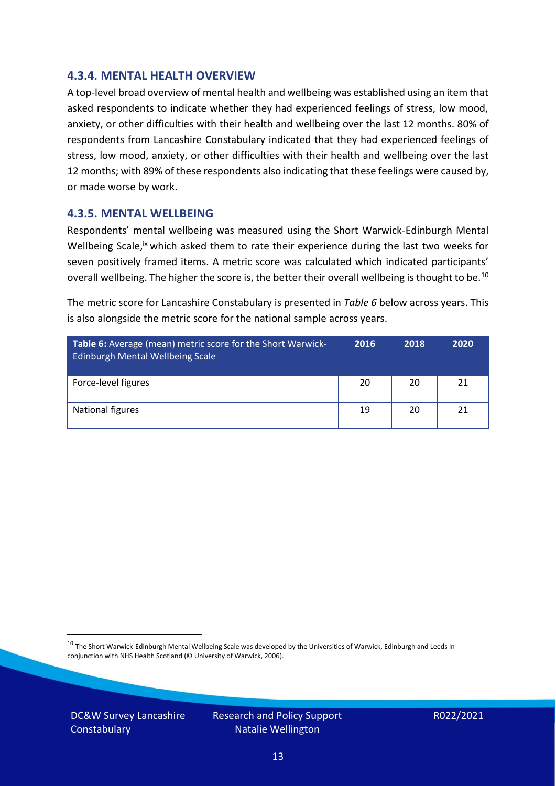#### **4.3.4. MENTAL HEALTH OVERVIEW**

A top-level broad overview of mental health and wellbeing was established using an item that asked respondents to indicate whether they had experienced feelings of stress, low mood, anxiety, or other difficulties with their health and wellbeing over the last 12 months. 80% of respondents from Lancashire Constabulary indicated that they had experienced feelings of stress, low mood, anxiety, or other difficulties with their health and wellbeing over the last 12 months; with 89% of these respondents also indicating that these feelings were caused by, or made worse by work.

#### **4.3.5. MENTAL WELLBEING**

Respondents' mental wellbeing was measured using the Short Warwick-Edinburgh Mental Wellbeing Scale,<sup>ix</sup> which asked them to rate their experience during the last two weeks for seven positively framed items. A metric score was calculated which indicated participants' overall wellbeing. The higher the score is, the better their overall wellbeing is thought to be.<sup>10</sup>

The metric score for Lancashire Constabulary is presented in *Table 6* below across years. This is also alongside the metric score for the national sample across years.

| <b>Table 6:</b> Average (mean) metric score for the Short Warwick-<br>Edinburgh Mental Wellbeing Scale | 2016 | 2018 | 2020 |
|--------------------------------------------------------------------------------------------------------|------|------|------|
| Force-level figures                                                                                    | 20   | 20   | 21   |
| National figures                                                                                       | 19   | 20   | 21   |

 $10$  The Short Warwick-Edinburgh Mental Wellbeing Scale was developed by the Universities of Warwick, Edinburgh and Leeds in conjunction with NHS Health Scotland (© University of Warwick, 2006).

DC&W Survey Lancashire **Constabulary**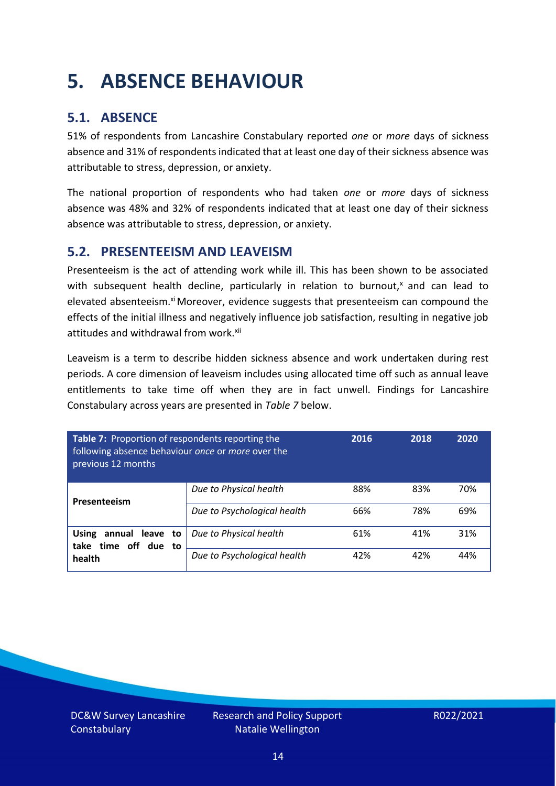### <span id="page-13-0"></span>**5. ABSENCE BEHAVIOUR**

### **5.1. ABSENCE**

51% of respondents from Lancashire Constabulary reported *one* or *more* days of sickness absence and 31% of respondents indicated that at least one day of their sickness absence was attributable to stress, depression, or anxiety.

The national proportion of respondents who had taken *one* or *more* days of sickness absence was 48% and 32% of respondents indicated that at least one day of their sickness absence was attributable to stress, depression, or anxiety.

### **5.2. PRESENTEEISM AND LEAVEISM**

Presenteeism is the act of attending work while ill. This has been shown to be associated with subsequent health decline, particularly in relation to burnout, $x$  and can lead to elevated absenteeism.<sup>xi</sup> Moreover, evidence suggests that presenteeism can compound the effects of the initial illness and negatively influence job satisfaction, resulting in negative job attitudes and withdrawal from work.<sup>xii</sup>

Leaveism is a term to describe hidden sickness absence and work undertaken during rest periods. A core dimension of leaveism includes using allocated time off such as annual leave entitlements to take time off when they are in fact unwell. Findings for Lancashire Constabulary across years are presented in *Table 7* below.

| Table 7: Proportion of respondents reporting the<br>following absence behaviour once or more over the<br>previous 12 months |                             | 2016 | 2018 | 2020 |
|-----------------------------------------------------------------------------------------------------------------------------|-----------------------------|------|------|------|
| Presenteeism                                                                                                                | Due to Physical health      | 88%  | 83%  | 70%  |
|                                                                                                                             | Due to Psychological health | 66%  | 78%  | 69%  |
| annual leave to<br><b>Using</b><br>time off due to<br>take<br>health                                                        | Due to Physical health      | 61%  | 41%  | 31%  |
|                                                                                                                             | Due to Psychological health | 42%  | 42%  | 44%  |

DC&W Survey Lancashire **Constabulary**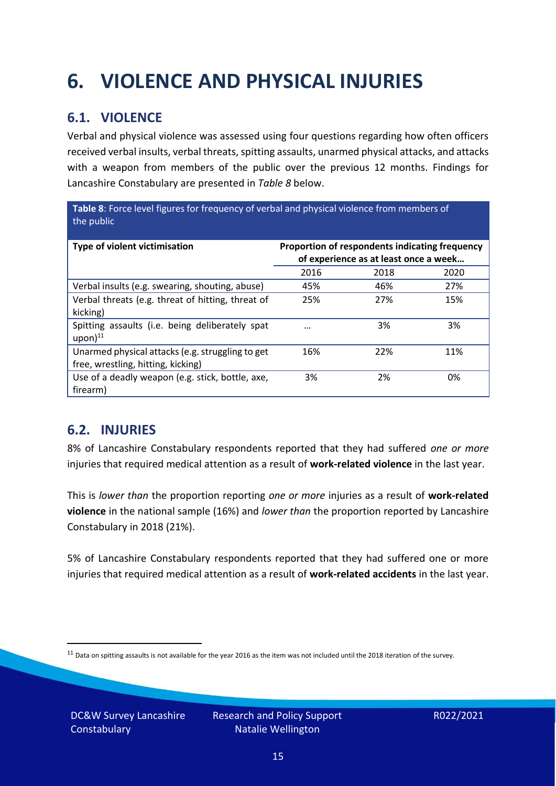## <span id="page-14-0"></span>**6. VIOLENCE AND PHYSICAL INJURIES**

### **6.1. VIOLENCE**

Verbal and physical violence was assessed using four questions regarding how often officers received verbal insults, verbal threats, spitting assaults, unarmed physical attacks, and attacks with a weapon from members of the public over the previous 12 months. Findings for Lancashire Constabulary are presented in *Table 8* below.

**Table 8**: Force level figures for frequency of verbal and physical violence from members of the public

| Type of violent victimisation                                                          | Proportion of respondents indicating frequency<br>of experience as at least once a week |      |      |
|----------------------------------------------------------------------------------------|-----------------------------------------------------------------------------------------|------|------|
|                                                                                        | 2016                                                                                    | 2018 | 2020 |
| Verbal insults (e.g. swearing, shouting, abuse)                                        | 45%                                                                                     | 46%  | 27%  |
| Verbal threats (e.g. threat of hitting, threat of<br>kicking)                          | 25%                                                                                     | 27%  | 15%  |
| Spitting assaults (i.e. being deliberately spat<br>$upon)$ <sup>11</sup>               |                                                                                         | 3%   | 3%   |
| Unarmed physical attacks (e.g. struggling to get<br>free, wrestling, hitting, kicking) | 16%                                                                                     | 22%  | 11%  |
| Use of a deadly weapon (e.g. stick, bottle, axe,<br>firearm)                           | 3%                                                                                      | 2%   | 0%   |

### **6.2. INJURIES**

8% of Lancashire Constabulary respondents reported that they had suffered *one or more* injuries that required medical attention as a result of **work-related violence** in the last year.

This is *lower than* the proportion reporting *one or more* injuries as a result of **work-related violence** in the national sample (16%) and *lower than* the proportion reported by Lancashire Constabulary in 2018 (21%).

5% of Lancashire Constabulary respondents reported that they had suffered one or more injuries that required medical attention as a result of **work-related accidents** in the last year.

 $11$  Data on spitting assaults is not available for the year 2016 as the item was not included until the 2018 iteration of the survey.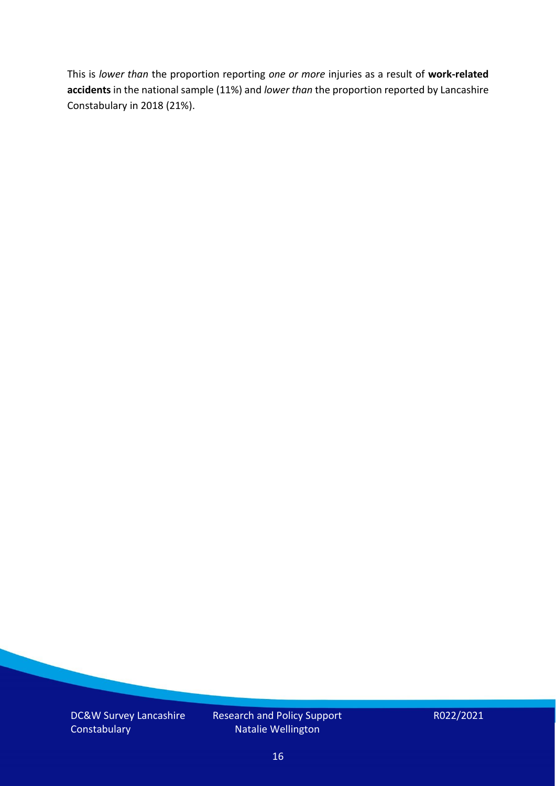This is *lower than* the proportion reporting *one or more* injuries as a result of **work-related accidents** in the national sample (11%) and *lower than* the proportion reported by Lancashire Constabulary in 2018 (21%).

DC&W Survey Lancashire **Constabulary** 

Research and Policy Support Natalie Wellington

R022/2021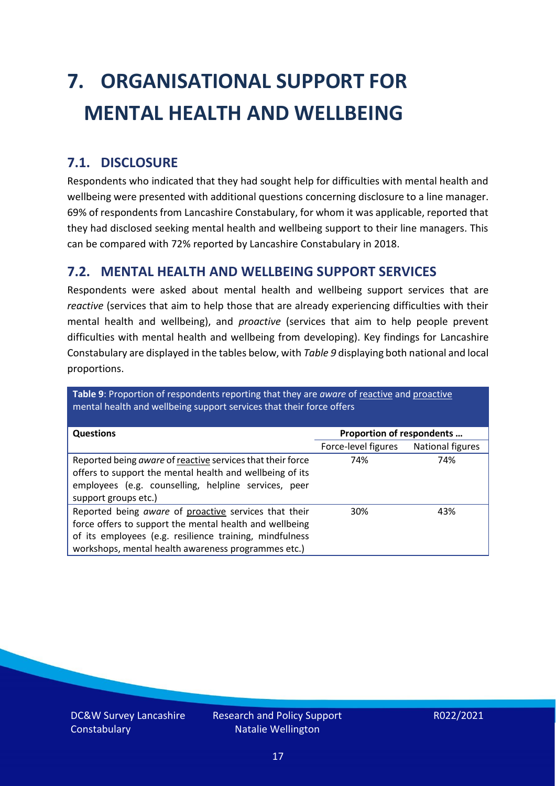# <span id="page-16-0"></span>**7. ORGANISATIONAL SUPPORT FOR MENTAL HEALTH AND WELLBEING**

### **7.1. DISCLOSURE**

Respondents who indicated that they had sought help for difficulties with mental health and wellbeing were presented with additional questions concerning disclosure to a line manager. 69% of respondents from Lancashire Constabulary, for whom it was applicable, reported that they had disclosed seeking mental health and wellbeing support to their line managers. This can be compared with 72% reported by Lancashire Constabulary in 2018.

#### **7.2. MENTAL HEALTH AND WELLBEING SUPPORT SERVICES**

Respondents were asked about mental health and wellbeing support services that are *reactive* (services that aim to help those that are already experiencing difficulties with their mental health and wellbeing), and *proactive* (services that aim to help people prevent difficulties with mental health and wellbeing from developing). Key findings for Lancashire Constabulary are displayed in the tables below, with *Table 9* displaying both national and local proportions.

**Table 9**: Proportion of respondents reporting that they are *aware* of reactive and proactive mental health and wellbeing support services that their force offers

| <b>Questions</b>                                                                                                                                                                                                                   | Proportion of respondents |                  |
|------------------------------------------------------------------------------------------------------------------------------------------------------------------------------------------------------------------------------------|---------------------------|------------------|
|                                                                                                                                                                                                                                    | Force-level figures       | National figures |
| Reported being aware of reactive services that their force<br>offers to support the mental health and wellbeing of its<br>employees (e.g. counselling, helpline services, peer<br>support groups etc.)                             | 74%                       | 74%              |
| Reported being aware of proactive services that their<br>force offers to support the mental health and wellbeing<br>of its employees (e.g. resilience training, mindfulness<br>workshops, mental health awareness programmes etc.) | 30%                       | 43%              |

DC&W Survey Lancashire **Constabulary**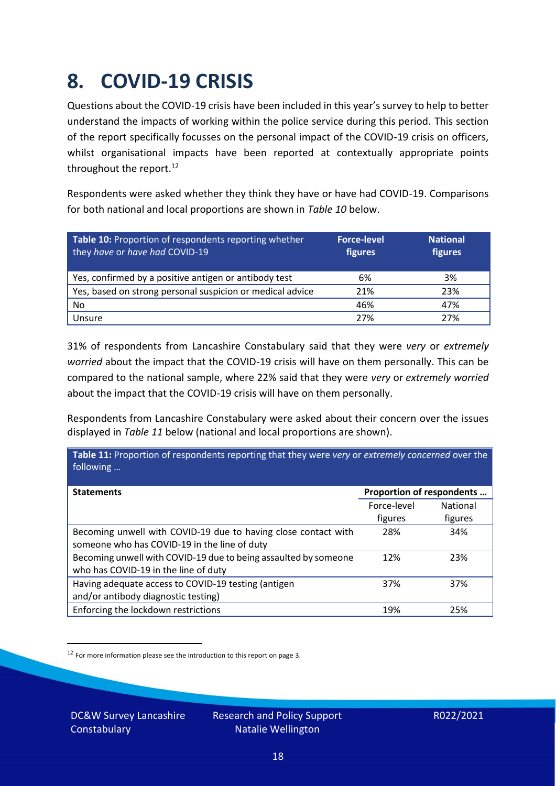### <span id="page-17-0"></span>**8. COVID-19 CRISIS**

Questions about the COVID-19 crisis have been included in this year's survey to help to better understand the impacts of working within the police service during this period. This section of the report specifically focusses on the personal impact of the COVID-19 crisis on officers, whilst organisational impacts have been reported at contextually appropriate points throughout the report.<sup>12</sup>

Respondents were asked whether they think they have or have had COVID-19. Comparisons for both national and local proportions are shown in *Table 10* below.

| Table 10: Proportion of respondents reporting whether<br>they have or have had COVID-19 | <b>Force-level</b><br>figures | <b>National</b><br>figures |
|-----------------------------------------------------------------------------------------|-------------------------------|----------------------------|
| Yes, confirmed by a positive antigen or antibody test                                   | 6%                            | 3%                         |
| Yes, based on strong personal suspicion or medical advice                               | 21%                           | 23%                        |
| No                                                                                      | 46%                           | 47%                        |
| Unsure                                                                                  | 27%                           | 27%                        |

31% of respondents from Lancashire Constabulary said that they were *very* or *extremely worried* about the impact that the COVID-19 crisis will have on them personally. This can be compared to the national sample, where 22% said that they were *very* or *extremely worried* about the impact that the COVID-19 crisis will have on them personally.

Respondents from Lancashire Constabulary were asked about their concern over the issues displayed in *Table 11* below (national and local proportions are shown).

| Table 11: Proportion of respondents reporting that they were very or extremely concerned over the<br>following |                           |                 |
|----------------------------------------------------------------------------------------------------------------|---------------------------|-----------------|
| <b>Statements</b>                                                                                              | Proportion of respondents |                 |
|                                                                                                                | Force-level               | <b>National</b> |
|                                                                                                                | figures                   | figures         |
| Becoming unwell with COVID-19 due to having close contact with                                                 | 28%                       | 34%             |
| someone who has COVID-19 in the line of duty                                                                   |                           |                 |
| Becoming unwell with COVID-19 due to being assaulted by someone                                                | 12%                       | 23%             |
| who has COVID-19 in the line of duty                                                                           |                           |                 |
| Having adequate access to COVID-19 testing (antigen                                                            | 37%                       | 37%             |
| and/or antibody diagnostic testing)                                                                            |                           |                 |
| Enforcing the lockdown restrictions                                                                            | 19%                       | 25%             |

<sup>12</sup> For more information please see the introduction to this report on page 3.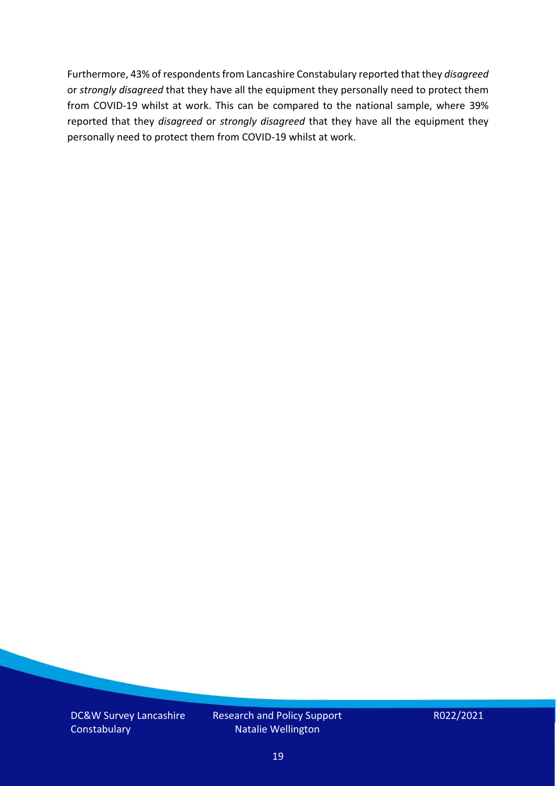Furthermore, 43% of respondents from Lancashire Constabulary reported that they *disagreed*  or *strongly disagreed* that they have all the equipment they personally need to protect them from COVID-19 whilst at work. This can be compared to the national sample, where 39% reported that they *disagreed* or *strongly disagreed* that they have all the equipment they personally need to protect them from COVID-19 whilst at work.

DC&W Survey Lancashire **Constabulary** 

Research and Policy Support Natalie Wellington

R022/2021